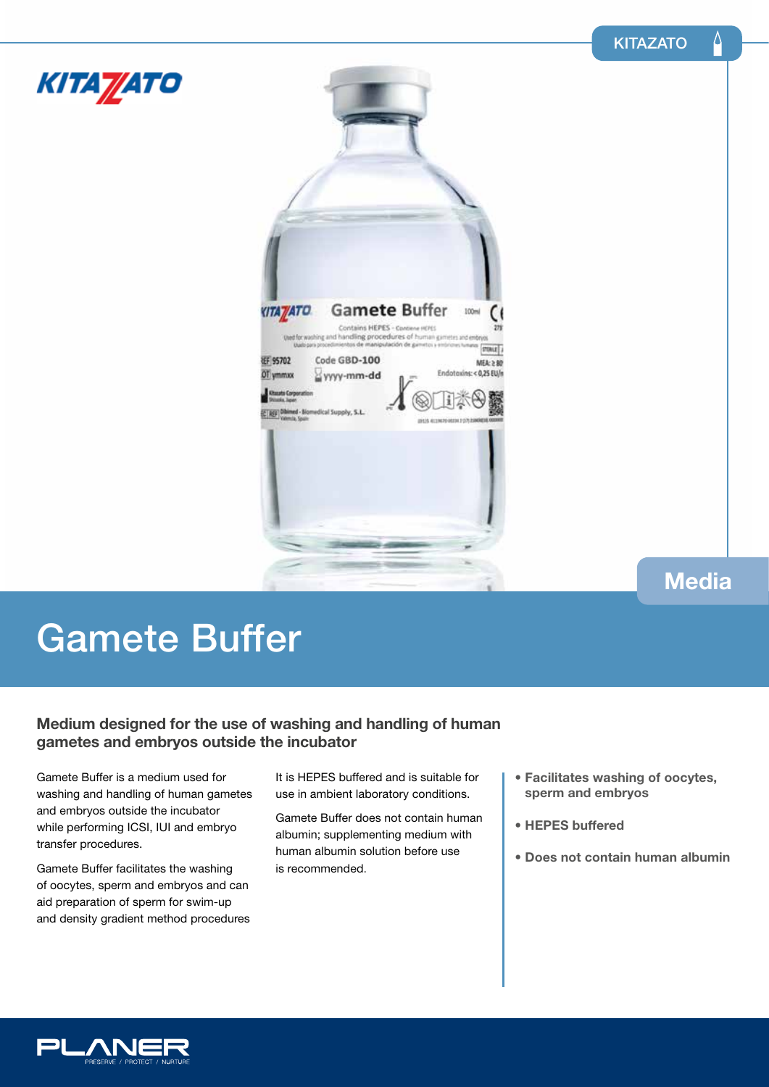Δ



# Gamete Buffer

### **Medium designed for the use of washing and handling of human gametes and embryos outside the incubator**

Gamete Buffer is a medium used for washing and handling of human gametes and embryos outside the incubator while performing ICSI, IUI and embryo transfer procedures.

Gamete Buffer facilitates the washing of oocytes, sperm and embryos and can aid preparation of sperm for swim-up and density gradient method procedures It is HEPES buffered and is suitable for use in ambient laboratory conditions.

Gamete Buffer does not contain human albumin; supplementing medium with human albumin solution before use is recommended.

- **Facilitates washing of oocytes, sperm and embryos**
- **HEPES buffered**
- **Does not contain human albumin**